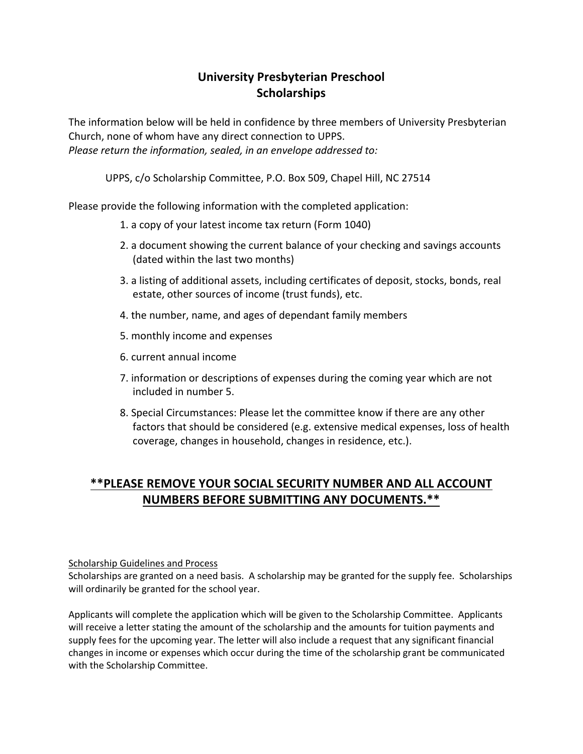## **University Presbyterian Preschool Scholarships**

The information below will be held in confidence by three members of University Presbyterian Church, none of whom have any direct connection to UPPS. *Please return the information, sealed, in an envelope addressed to:*

UPPS, c/o Scholarship Committee, P.O. Box 509, Chapel Hill, NC 27514

Please provide the following information with the completed application:

- 1. a copy of your latest income tax return (Form 1040)
- 2. a document showing the current balance of your checking and savings accounts (dated within the last two months)
- 3. a listing of additional assets, including certificates of deposit, stocks, bonds, real estate, other sources of income (trust funds), etc.
- 4. the number, name, and ages of dependant family members
- 5. monthly income and expenses
- 6. current annual income
- 7. information or descriptions of expenses during the coming year which are not included in number 5.
- 8. Special Circumstances: Please let the committee know if there are any other factors that should be considered (e.g. extensive medical expenses, loss of health coverage, changes in household, changes in residence, etc.).

## **\*\*PLEASE REMOVE YOUR SOCIAL SECURITY NUMBER AND ALL ACCOUNT NUMBERS BEFORE SUBMITTING ANY DOCUMENTS.\*\***

## Scholarship Guidelines and Process

Scholarships are granted on a need basis. A scholarship may be granted for the supply fee. Scholarships will ordinarily be granted for the school year.

Applicants will complete the application which will be given to the Scholarship Committee. Applicants will receive a letter stating the amount of the scholarship and the amounts for tuition payments and supply fees for the upcoming year. The letter will also include a request that any significant financial changes in income or expenses which occur during the time of the scholarship grant be communicated with the Scholarship Committee.